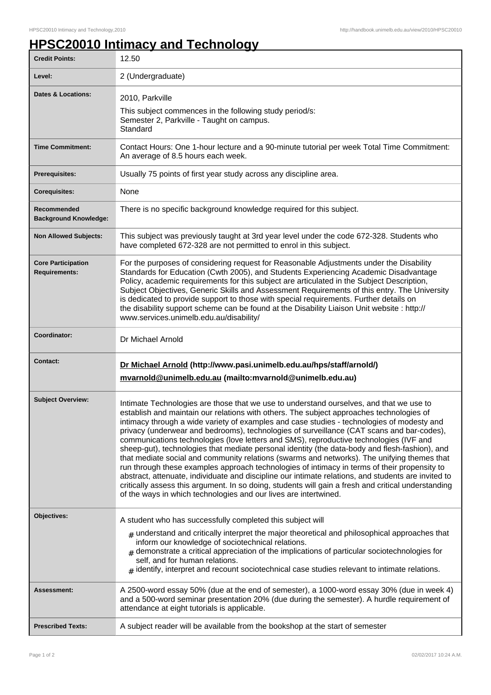## **HPSC20010 Intimacy and Technology**

| <b>Credit Points:</b>                             | 12.50                                                                                                                                                                                                                                                                                                                                                                                                                                                                                                                                                                                                                                                                                                                                                                                                                                                                                                                                                                                                                                                       |
|---------------------------------------------------|-------------------------------------------------------------------------------------------------------------------------------------------------------------------------------------------------------------------------------------------------------------------------------------------------------------------------------------------------------------------------------------------------------------------------------------------------------------------------------------------------------------------------------------------------------------------------------------------------------------------------------------------------------------------------------------------------------------------------------------------------------------------------------------------------------------------------------------------------------------------------------------------------------------------------------------------------------------------------------------------------------------------------------------------------------------|
| Level:                                            | 2 (Undergraduate)                                                                                                                                                                                                                                                                                                                                                                                                                                                                                                                                                                                                                                                                                                                                                                                                                                                                                                                                                                                                                                           |
| <b>Dates &amp; Locations:</b>                     | 2010, Parkville<br>This subject commences in the following study period/s:<br>Semester 2, Parkville - Taught on campus.<br>Standard                                                                                                                                                                                                                                                                                                                                                                                                                                                                                                                                                                                                                                                                                                                                                                                                                                                                                                                         |
| <b>Time Commitment:</b>                           | Contact Hours: One 1-hour lecture and a 90-minute tutorial per week Total Time Commitment:<br>An average of 8.5 hours each week.                                                                                                                                                                                                                                                                                                                                                                                                                                                                                                                                                                                                                                                                                                                                                                                                                                                                                                                            |
| Prerequisites:                                    | Usually 75 points of first year study across any discipline area.                                                                                                                                                                                                                                                                                                                                                                                                                                                                                                                                                                                                                                                                                                                                                                                                                                                                                                                                                                                           |
| <b>Corequisites:</b>                              | None                                                                                                                                                                                                                                                                                                                                                                                                                                                                                                                                                                                                                                                                                                                                                                                                                                                                                                                                                                                                                                                        |
| Recommended<br><b>Background Knowledge:</b>       | There is no specific background knowledge required for this subject.                                                                                                                                                                                                                                                                                                                                                                                                                                                                                                                                                                                                                                                                                                                                                                                                                                                                                                                                                                                        |
| <b>Non Allowed Subjects:</b>                      | This subject was previously taught at 3rd year level under the code 672-328. Students who<br>have completed 672-328 are not permitted to enrol in this subject.                                                                                                                                                                                                                                                                                                                                                                                                                                                                                                                                                                                                                                                                                                                                                                                                                                                                                             |
| <b>Core Participation</b><br><b>Requirements:</b> | For the purposes of considering request for Reasonable Adjustments under the Disability<br>Standards for Education (Cwth 2005), and Students Experiencing Academic Disadvantage<br>Policy, academic requirements for this subject are articulated in the Subject Description,<br>Subject Objectives, Generic Skills and Assessment Requirements of this entry. The University<br>is dedicated to provide support to those with special requirements. Further details on<br>the disability support scheme can be found at the Disability Liaison Unit website : http://<br>www.services.unimelb.edu.au/disability/                                                                                                                                                                                                                                                                                                                                                                                                                                           |
| Coordinator:                                      | Dr Michael Arnold                                                                                                                                                                                                                                                                                                                                                                                                                                                                                                                                                                                                                                                                                                                                                                                                                                                                                                                                                                                                                                           |
| <b>Contact:</b>                                   | Dr Michael Arnold (http://www.pasi.unimelb.edu.au/hps/staff/arnold/)<br>mvarnold@unimelb.edu.au (mailto:mvarnold@unimelb.edu.au)                                                                                                                                                                                                                                                                                                                                                                                                                                                                                                                                                                                                                                                                                                                                                                                                                                                                                                                            |
| <b>Subject Overview:</b>                          | Intimate Technologies are those that we use to understand ourselves, and that we use to<br>establish and maintain our relations with others. The subject approaches technologies of<br>intimacy through a wide variety of examples and case studies - technologies of modesty and<br>privacy (underwear and bedrooms), technologies of surveillance (CAT scans and bar-codes),<br>communications technologies (love letters and SMS), reproductive technologies (IVF and<br>sheep-gut), technologies that mediate personal identity (the data-body and flesh-fashion), and<br>that mediate social and community relations (swarms and networks). The unifying themes that<br>run through these examples approach technologies of intimacy in terms of their propensity to<br>abstract, attenuate, individuate and discipline our intimate relations, and students are invited to<br>critically assess this argument. In so doing, students will gain a fresh and critical understanding<br>of the ways in which technologies and our lives are intertwined. |
| Objectives:                                       | A student who has successfully completed this subject will<br>$#$ understand and critically interpret the major theoretical and philosophical approaches that<br>inform our knowledge of sociotechnical relations.<br>$*$ demonstrate a critical appreciation of the implications of particular sociotechnologies for<br>self, and for human relations.<br>$_{\#}$ identify, interpret and recount sociotechnical case studies relevant to intimate relations.                                                                                                                                                                                                                                                                                                                                                                                                                                                                                                                                                                                              |
| Assessment:                                       | A 2500-word essay 50% (due at the end of semester), a 1000-word essay 30% (due in week 4)<br>and a 500-word seminar presentation 20% (due during the semester). A hurdle requirement of<br>attendance at eight tutorials is applicable.                                                                                                                                                                                                                                                                                                                                                                                                                                                                                                                                                                                                                                                                                                                                                                                                                     |
| <b>Prescribed Texts:</b>                          | A subject reader will be available from the bookshop at the start of semester                                                                                                                                                                                                                                                                                                                                                                                                                                                                                                                                                                                                                                                                                                                                                                                                                                                                                                                                                                               |